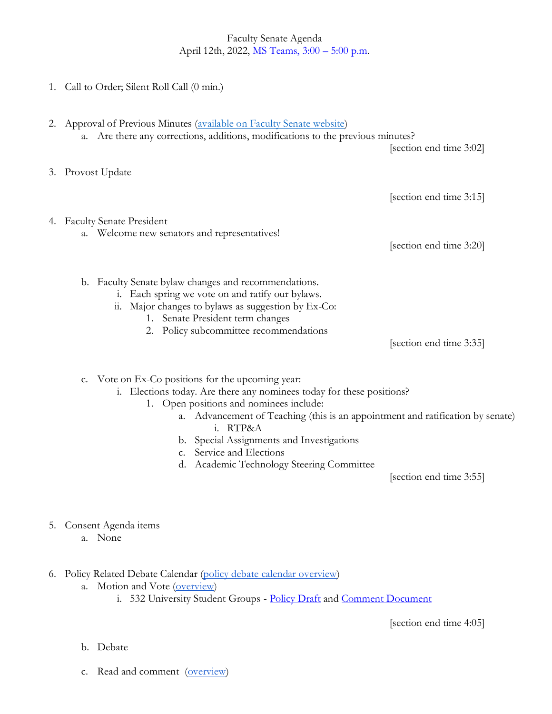Faculty Senate Agenda April 12th, 2022, MS Teams,  $3:00 - 5:00$  p.m.

- 1. Call to Order; Silent Roll Call (0 min.)
- 2. Approval of Previous Minutes [\(available on Faculty Senate website\)](https://www.uvu.edu/facsenate/minutes.html) a. Are there any corrections, additions, modifications to the previous minutes? [section end time 3:02] 3. Provost Update [section end time 3:15] 4. Faculty Senate President a. Welcome new senators and representatives! [section end time 3:20] b. Faculty Senate bylaw changes and recommendations. i. Each spring we vote on and ratify our bylaws. ii. Major changes to bylaws as suggestion by Ex-Co: 1. Senate President term changes 2. Policy subcommittee recommendations [section end time 3:35]

c. Vote on Ex-Co positions for the upcoming year:

- i. Elections today. Are there any nominees today for these positions?
	- 1. Open positions and nominees include:
		- a. Advancement of Teaching (this is an appointment and ratification by senate) i. RTP&A
		- b. Special Assignments and Investigations
		- c. Service and Elections
		- d. Academic Technology Steering Committee

[section end time 3:55]

- 5. Consent Agenda items
	- a. None
- 6. Policy Related Debate Calendar [\(policy debate calendar overview\)](https://drive.google.com/file/d/1qcAYtZh5lFnIa680jE2JKGygThjeMyzK/view?usp=sharing)
	- a. Motion and Vote [\(overview\)](https://drive.google.com/file/d/1qcAYtZh5lFnIa680jE2JKGygThjeMyzK/view?usp=sharing)
		- i. 532 University Student Groups [Policy Draft](https://policy.uvu.edu/getDisplayFile/5ce7152a587c14686e9463ce) and [Comment Document](https://docs.google.com/document/d/1vma4uFGIIKbdy9nTgNHpIxV6S-FTi7gdSTFxrKWpq9w/edit?usp=sharing)

[section end time 4:05]

- b. Debate
- c. Read and comment [\(overview\)](https://drive.google.com/file/d/1qcAYtZh5lFnIa680jE2JKGygThjeMyzK/view?usp=sharing)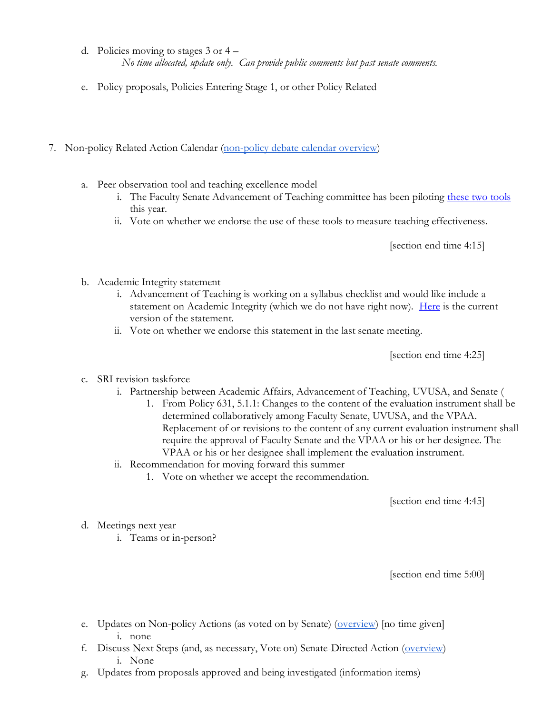- d. Policies moving to stages 3 or 4 *No time allocated, update only. Can provide public comments but past senate comments.*
- e. Policy proposals, Policies Entering Stage 1, or other Policy Related
- 7. Non-policy Related Action Calendar [\(non-policy debate calendar overview\)](https://docs.google.com/document/d/1zrPy0Fn9xcOhidd1XMgo1opj-lYb_9aTvLKg_NI1eLA/edit?usp=sharing)
	- a. Peer observation tool and teaching excellence model
		- i. The Faculty Senate Advancement of Teaching committee has been piloting [these two tools](https://www.uvu.edu/otl/teachingexcellencetools.html) this year.
		- ii. Vote on whether we endorse the use of these tools to measure teaching effectiveness.

[section end time 4:15]

- b. Academic Integrity statement
	- i. Advancement of Teaching is working on a syllabus checklist and would like include a statement on Academic Integrity (which we do not have right now). [Here](https://www.uvu.edu/otl/syllabuschecklist.html) is the current version of the statement.
	- ii. Vote on whether we endorse this statement in the last senate meeting.

[section end time 4:25]

- c. SRI revision taskforce
	- i. Partnership between Academic Affairs, Advancement of Teaching, UVUSA, and Senate (
		- 1. From Policy 631, 5.1.1: Changes to the content of the evaluation instrument shall be determined collaboratively among Faculty Senate, UVUSA, and the VPAA. Replacement of or revisions to the content of any current evaluation instrument shall require the approval of Faculty Senate and the VPAA or his or her designee. The VPAA or his or her designee shall implement the evaluation instrument.
	- ii. Recommendation for moving forward this summer
		- 1. Vote on whether we accept the recommendation.

[section end time 4:45]

- d. Meetings next year
	- i. Teams or in-person?

[section end time 5:00]

- e. Updates on Non-policy Actions (as voted on by Senate) [\(overview\)](https://docs.google.com/document/d/1zrPy0Fn9xcOhidd1XMgo1opj-lYb_9aTvLKg_NI1eLA/edit#bookmark=id.20s1i57f673d) [no time given] i. none
- f. Discuss Next Steps (and, as necessary, Vote on) Senate-Directed Action [\(overview\)](https://docs.google.com/document/d/1zrPy0Fn9xcOhidd1XMgo1opj-lYb_9aTvLKg_NI1eLA/edit#bookmark=id.1turi862unvt) i. None
- g. Updates from proposals approved and being investigated (information items)